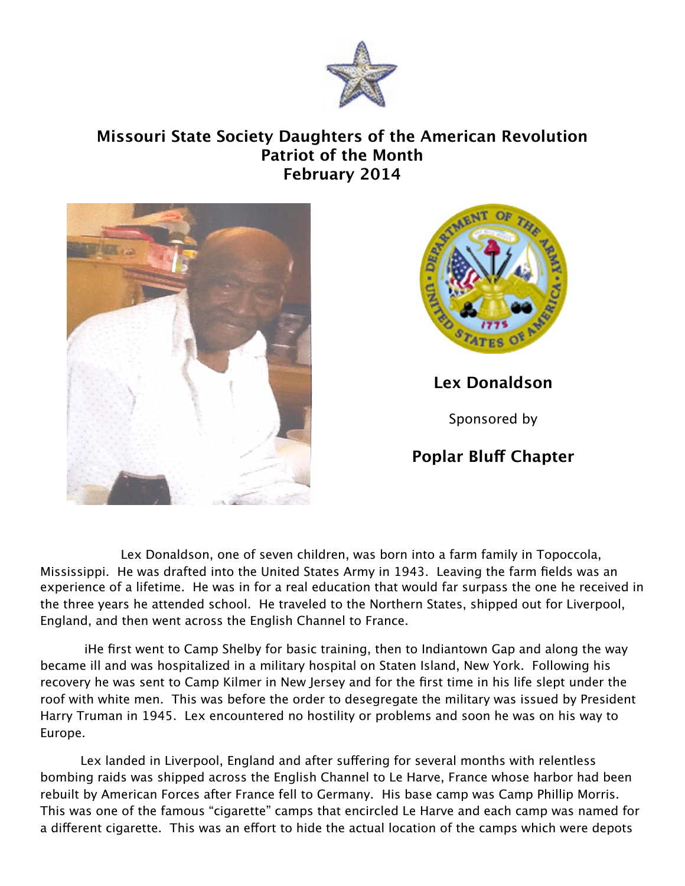

## **Missouri State Society Daughters of the American Revolution Patriot of the Month February 2014**





**Lex Donaldson**

Sponsored by

## **Poplar Bluf Chapter**

Lex Donaldson, one of seven children, was born into a farm family in Topoccola, Mississippi. He was drafted into the United States Army in 1943. Leaving the farm fields was an experience of a lifetime. He was in for a real education that would far surpass the one he received in the three years he attended school. He traveled to the Northern States, shipped out for Liverpool, England, and then went across the English Channel to France.

 iHe first went to Camp Shelby for basic training, then to Indiantown Gap and along the way became ill and was hospitalized in a military hospital on Staten Island, New York. Following his recovery he was sent to Camp Kilmer in New Jersey and for the first time in his life slept under the roof with white men. This was before the order to desegregate the military was issued by President Harry Truman in 1945. Lex encountered no hostility or problems and soon he was on his way to Europe.

Lex landed in Liverpool, England and after suffering for several months with relentless bombing raids was shipped across the English Channel to Le Harve, France whose harbor had been rebuilt by American Forces after France fell to Germany. His base camp was Camp Phillip Morris. This was one of the famous "cigarette" camps that encircled Le Harve and each camp was named for a different cigarette. This was an effort to hide the actual location of the camps which were depots